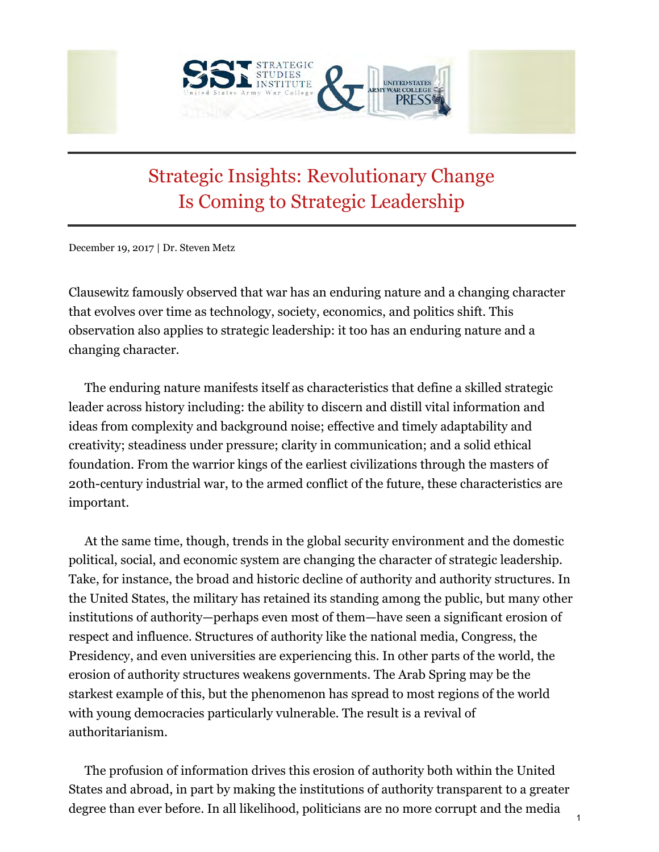

## Strategic Insights: Revolutionary Change Is Coming to Strategic Leadership

December 19, 2017 | Dr. Steven Metz

Clausewitz famously observed that war has an enduring nature and a changing character that evolves over time as technology, society, economics, and politics shift. This observation also applies to strategic leadership: it too has an enduring nature and a changing character.

The enduring nature manifests itself as characteristics that define a skilled strategic leader across history including: the ability to discern and distill vital information and ideas from complexity and background noise; effective and timely adaptability and creativity; steadiness under pressure; clarity in communication; and a solid ethical foundation. From the warrior kings of the earliest civilizations through the masters of 20th-century industrial war, to the armed conflict of the future, these characteristics are important.

At the same time, though, trends in the global security environment and the domestic political, social, and economic system are changing the character of strategic leadership. Take, for instance, the broad and historic decline of authority and authority structures. In the United States, the military has retained its standing among the public, but many other institutions of authority—perhaps even most of them—have seen a significant erosion of respect and influence. Structures of authority like the national media, Congress, the Presidency, and even universities are experiencing this. In other parts of the world, the erosion of authority structures weakens governments. The Arab Spring may be the starkest example of this, but the phenomenon has spread to most regions of the world with young democracies particularly vulnerable. The result is a revival of authoritarianism.

The profusion of information drives this erosion of authority both within the United States and abroad, in part by making the institutions of authority transparent to a greater degree than ever before. In all likelihood, politicians are no more corrupt and the media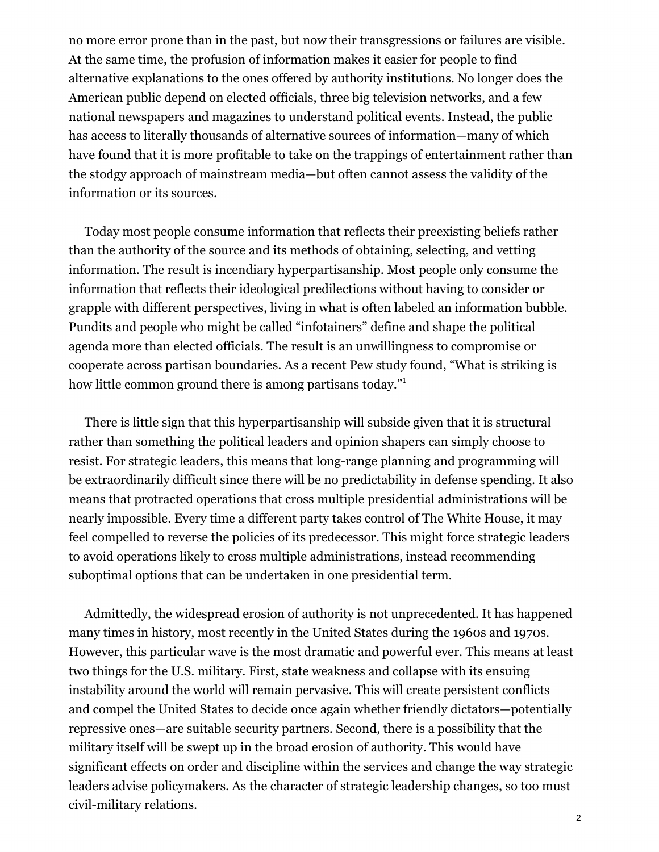no more error prone than in the past, but now their transgressions or failures are visible. At the same time, the profusion of information makes it easier for people to find alternative explanations to the ones offered by authority institutions. No longer does the American public depend on elected officials, three big television networks, and a few national newspapers and magazines to understand political events. Instead, the public has access to literally thousands of alternative sources of information—many of which have found that it is more profitable to take on the trappings of entertainment rather than the stodgy approach of mainstream media—but often cannot assess the validity of the information or its sources.

Today most people consume information that reflects their preexisting beliefs rather than the authority of the source and its methods of obtaining, selecting, and vetting information. The result is incendiary hyperpartisanship. Most people only consume the information that reflects their ideological predilections without having to consider or grapple with different perspectives, living in what is often labeled an information bubble. Pundits and people who might be called "infotainers" define and shape the political agenda more than elected officials. The result is an unwillingness to compromise or cooperate across partisan boundaries. As a recent Pew study found, "What is striking is how little common ground there is among partisans today."

There is little sign that this hyperpartisanship will subside given that it is structural rather than something the political leaders and opinion shapers can simply choose to resist. For strategic leaders, this means that long-range planning and programming will be extraordinarily difficult since there will be no predictability in defense spending. It also means that protracted operations that cross multiple presidential administrations will be nearly impossible. Every time a different party takes control of The White House, it may feel compelled to reverse the policies of its predecessor. This might force strategic leaders to avoid operations likely to cross multiple administrations, instead recommending suboptimal options that can be undertaken in one presidential term.

Admittedly, the widespread erosion of authority is not unprecedented. It has happened many times in history, most recently in the United States during the 1960s and 1970s. However, this particular wave is the most dramatic and powerful ever. This means at least two things for the U.S. military. First, state weakness and collapse with its ensuing instability around the world will remain pervasive. This will create persistent conflicts and compel the United States to decide once again whether friendly dictators—potentially repressive ones—are suitable security partners. Second, there is a possibility that the military itself will be swept up in the broad erosion of authority. This would have significant effects on order and discipline within the services and change the way strategic leaders advise policymakers. As the character of strategic leadership changes, so too must civil-military relations.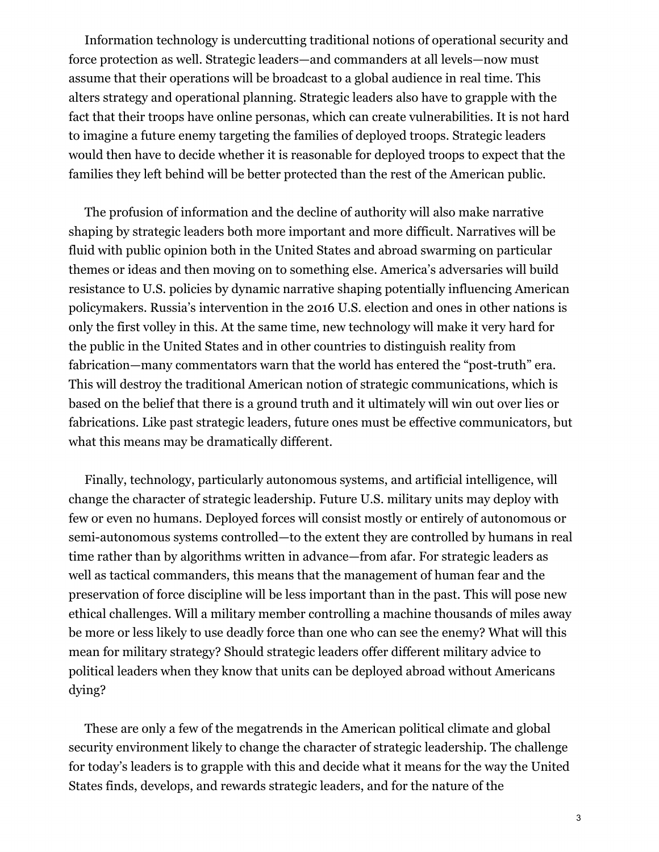Information technology is undercutting traditional notions of operational security and force protection as well. Strategic leaders—and commanders at all levels—now must assume that their operations will be broadcast to a global audience in real time. This alters strategy and operational planning. Strategic leaders also have to grapple with the fact that their troops have online personas, which can create vulnerabilities. It is not hard to imagine a future enemy targeting the families of deployed troops. Strategic leaders would then have to decide whether it is reasonable for deployed troops to expect that the families they left behind will be better protected than the rest of the American public.

The profusion of information and the decline of authority will also make narrative shaping by strategic leaders both more important and more difficult. Narratives will be fluid with public opinion both in the United States and abroad swarming on particular themes or ideas and then moving on to something else. America's adversaries will build resistance to U.S. policies by dynamic narrative shaping potentially influencing American policymakers. Russia's intervention in the 2016 U.S. election and ones in other nations is only the first volley in this. At the same time, new technology will make it very hard for the public in the United States and in other countries to distinguish reality from fabrication—many commentators warn that the world has entered the "post-truth" era. This will destroy the traditional American notion of strategic communications, which is based on the belief that there is a ground truth and it ultimately will win out over lies or fabrications. Like past strategic leaders, future ones must be effective communicators, but what this means may be dramatically different.

Finally, technology, particularly autonomous systems, and artificial intelligence, will change the character of strategic leadership. Future U.S. military units may deploy with few or even no humans. Deployed forces will consist mostly or entirely of autonomous or semi-autonomous systems controlled—to the extent they are controlled by humans in real time rather than by algorithms written in advance—from afar. For strategic leaders as well as tactical commanders, this means that the management of human fear and the preservation of force discipline will be less important than in the past. This will pose new ethical challenges. Will a military member controlling a machine thousands of miles away be more or less likely to use deadly force than one who can see the enemy? What will this mean for military strategy? Should strategic leaders offer different military advice to political leaders when they know that units can be deployed abroad without Americans dying?

These are only a few of the megatrends in the American political climate and global security environment likely to change the character of strategic leadership. The challenge for today's leaders is to grapple with this and decide what it means for the way the United States finds, develops, and rewards strategic leaders, and for the nature of the